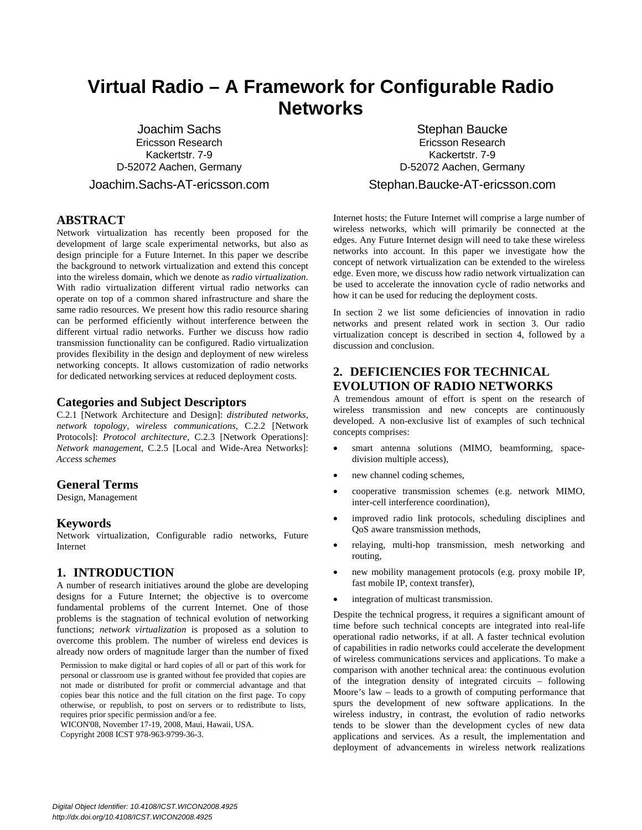# **Virtual Radio – A Framework for Configurable Radio Networks**

Joachim Sachs Ericsson Research Kackertstr. 7-9 D-52072 Aachen, Germany Joachim.Sachs-AT-ericsson.com

**ABSTRACT**

Network virtualization has recently been proposed for the development of large scale experimental networks, but also as design principle for a Future Internet. In this paper we describe the background to network virtualization and extend this concept into the wireless domain, which we denote as *radio virtualization*. With radio virtualization different virtual radio networks can operate on top of a common shared infrastructure and share the same radio resources. We present how this radio resource sharing can be performed efficiently without interference between the different virtual radio networks. Further we discuss how radio transmission functionality can be configured. Radio virtualization provides flexibility in the design and deployment of new wireless networking concepts. It allows customization of radio networks for dedicated networking services at reduced deployment costs.

#### **Categories and Subject Descriptors**

C.2.1 [Network Architecture and Design]: *distributed networks, network topology, wireless communications*, C.2.2 [Network Protocols]: *Protocol architecture*, C.2.3 [Network Operations]: *Network management*, C.2.5 [Local and Wide-Area Networks]: *Access schemes*

### **General Terms**

Design, Management

#### **Keywords**

Network virtualization, Configurable radio networks, Future Internet

#### **1. INTRODUCTION**

A number of research initiatives around the globe are developing designs for a Future Internet; the objective is to overcome fundamental problems of the current Internet. One of those problems is the stagnation of technical evolution of networking functions; *network virtualization* is proposed as a solution to overcome this problem. The number of wireless end devices is already now orders of magnitude larger than the number of fixed

Permission to make digital or hard copies of all or part of this work for personal or classroom use is granted without fee provided that copies are not made or distributed for profit or commercial advantage and that copies bear this notice and the full citation on the first page. To copy otherwise, or republish, to post on servers or to redistribute to lists, requires prior specific permission and/or a fee.

WICON'08, November 17-19, 2008, Maui, Hawaii, USA. Copyright 2008 ICST 978-963-9799-36-3.

Stephan Baucke Ericsson Research Kackertstr. 7-9 D-52072 Aachen, Germany Stephan.Baucke-AT-ericsson.com

Internet hosts; the Future Internet will comprise a large number of wireless networks, which will primarily be connected at the edges. Any Future Internet design will need to take these wireless networks into account. In this paper we investigate how the concept of network virtualization can be extended to the wireless edge. Even more, we discuss how radio network virtualization can be used to accelerate the innovation cycle of radio networks and how it can be used for reducing the deployment costs.

In section 2 we list some deficiencies of innovation in radio networks and present related work in section 3. Our radio virtualization concept is described in section 4, followed by a discussion and conclusion.

# **2. DEFICIENCIES FOR TECHNICAL EVOLUTION OF RADIO NETWORKS**

A tremendous amount of effort is spent on the research of wireless transmission and new concepts are continuously developed. A non-exclusive list of examples of such technical concepts comprises:

- smart antenna solutions (MIMO, beamforming, spacedivision multiple access),
- new channel coding schemes,
- x cooperative transmission schemes (e.g. network MIMO, inter-cell interference coordination),
- improved radio link protocols, scheduling disciplines and QoS aware transmission methods,
- relaying, multi-hop transmission, mesh networking and routing,
- new mobility management protocols (e.g. proxy mobile IP, fast mobile IP, context transfer),
- integration of multicast transmission.

Despite the technical progress, it requires a significant amount of time before such technical concepts are integrated into real-life operational radio networks, if at all. A faster technical evolution of capabilities in radio networks could accelerate the development of wireless communications services and applications. To make a comparison with another technical area: the continuous evolution of the integration density of integrated circuits – following Moore's law – leads to a growth of computing performance that spurs the development of new software applications. In the wireless industry, in contrast, the evolution of radio networks tends to be slower than the development cycles of new data applications and services. As a result, the implementation and deployment of advancements in wireless network realizations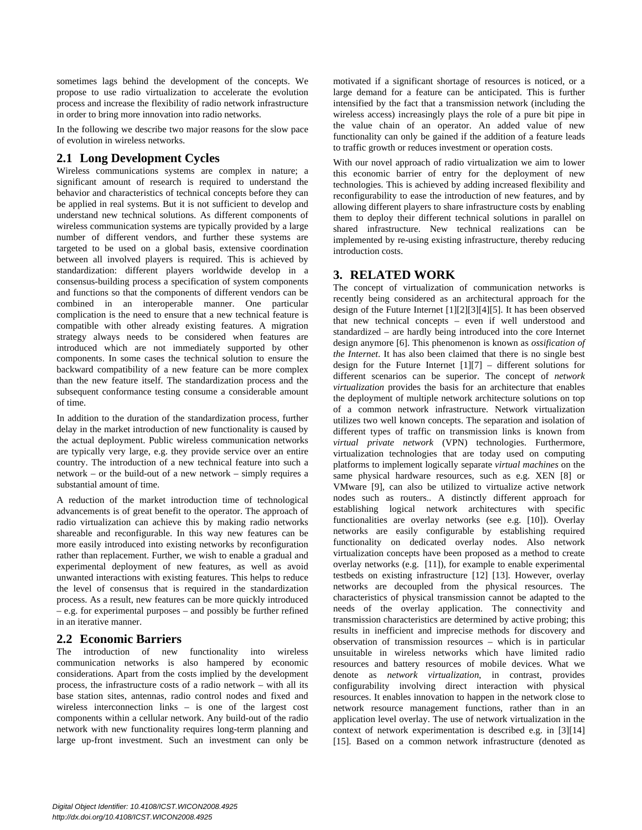sometimes lags behind the development of the concepts. We propose to use radio virtualization to accelerate the evolution process and increase the flexibility of radio network infrastructure in order to bring more innovation into radio networks.

In the following we describe two major reasons for the slow pace of evolution in wireless networks.

## **2.1 Long Development Cycles**

Wireless communications systems are complex in nature; a significant amount of research is required to understand the behavior and characteristics of technical concepts before they can be applied in real systems. But it is not sufficient to develop and understand new technical solutions. As different components of wireless communication systems are typically provided by a large number of different vendors, and further these systems are targeted to be used on a global basis, extensive coordination between all involved players is required. This is achieved by standardization: different players worldwide develop in a consensus-building process a specification of system components and functions so that the components of different vendors can be combined in an interoperable manner. One particular complication is the need to ensure that a new technical feature is compatible with other already existing features. A migration strategy always needs to be considered when features are introduced which are not immediately supported by other components. In some cases the technical solution to ensure the backward compatibility of a new feature can be more complex than the new feature itself. The standardization process and the subsequent conformance testing consume a considerable amount of time.

In addition to the duration of the standardization process, further delay in the market introduction of new functionality is caused by the actual deployment. Public wireless communication networks are typically very large, e.g. they provide service over an entire country. The introduction of a new technical feature into such a network – or the build-out of a new network – simply requires a substantial amount of time.

A reduction of the market introduction time of technological advancements is of great benefit to the operator. The approach of radio virtualization can achieve this by making radio networks shareable and reconfigurable. In this way new features can be more easily introduced into existing networks by reconfiguration rather than replacement. Further, we wish to enable a gradual and experimental deployment of new features, as well as avoid unwanted interactions with existing features. This helps to reduce the level of consensus that is required in the standardization process. As a result, new features can be more quickly introduced – e.g. for experimental purposes – and possibly be further refined in an iterative manner.

## **2.2 Economic Barriers**

The introduction of new functionality into wireless communication networks is also hampered by economic considerations. Apart from the costs implied by the development process, the infrastructure costs of a radio network – with all its base station sites, antennas, radio control nodes and fixed and wireless interconnection links – is one of the largest cost components within a cellular network. Any build-out of the radio network with new functionality requires long-term planning and large up-front investment. Such an investment can only be

motivated if a significant shortage of resources is noticed, or a large demand for a feature can be anticipated. This is further intensified by the fact that a transmission network (including the wireless access) increasingly plays the role of a pure bit pipe in the value chain of an operator. An added value of new functionality can only be gained if the addition of a feature leads to traffic growth or reduces investment or operation costs.

With our novel approach of radio virtualization we aim to lower this economic barrier of entry for the deployment of new technologies. This is achieved by adding increased flexibility and reconfigurability to ease the introduction of new features, and by allowing different players to share infrastructure costs by enabling them to deploy their different technical solutions in parallel on shared infrastructure. New technical realizations can be implemented by re-using existing infrastructure, thereby reducing introduction costs.

## **3. RELATED WORK**

The concept of virtualization of communication networks is recently being considered as an architectural approach for the design of the Future Internet [1][2][3][4][5]. It has been observed that new technical concepts – even if well understood and standardized – are hardly being introduced into the core Internet design anymore [6]. This phenomenon is known as *ossification of the Internet*. It has also been claimed that there is no single best design for the Future Internet [1][7] – different solutions for different scenarios can be superior. The concept of *network virtualization* provides the basis for an architecture that enables the deployment of multiple network architecture solutions on top of a common network infrastructure. Network virtualization utilizes two well known concepts. The separation and isolation of different types of traffic on transmission links is known from *virtual private network* (VPN) technologies. Furthermore, virtualization technologies that are today used on computing platforms to implement logically separate *virtual machines* on the same physical hardware resources, such as e.g. XEN [8] or VMware [9], can also be utilized to virtualize active network nodes such as routers.. A distinctly different approach for establishing logical network architectures with specific functionalities are overlay networks (see e.g. [10]). Overlay networks are easily configurable by establishing required functionality on dedicated overlay nodes. Also network virtualization concepts have been proposed as a method to create overlay networks (e.g. [11]), for example to enable experimental testbeds on existing infrastructure [12] [13]. However, overlay networks are decoupled from the physical resources. The characteristics of physical transmission cannot be adapted to the needs of the overlay application. The connectivity and transmission characteristics are determined by active probing; this results in inefficient and imprecise methods for discovery and observation of transmission resources – which is in particular unsuitable in wireless networks which have limited radio resources and battery resources of mobile devices. What we denote as *network virtualization*, in contrast, provides configurability involving direct interaction with physical resources. It enables innovation to happen in the network close to network resource management functions, rather than in an application level overlay. The use of network virtualization in the context of network experimentation is described e.g. in [3][14] [15]. Based on a common network infrastructure (denoted as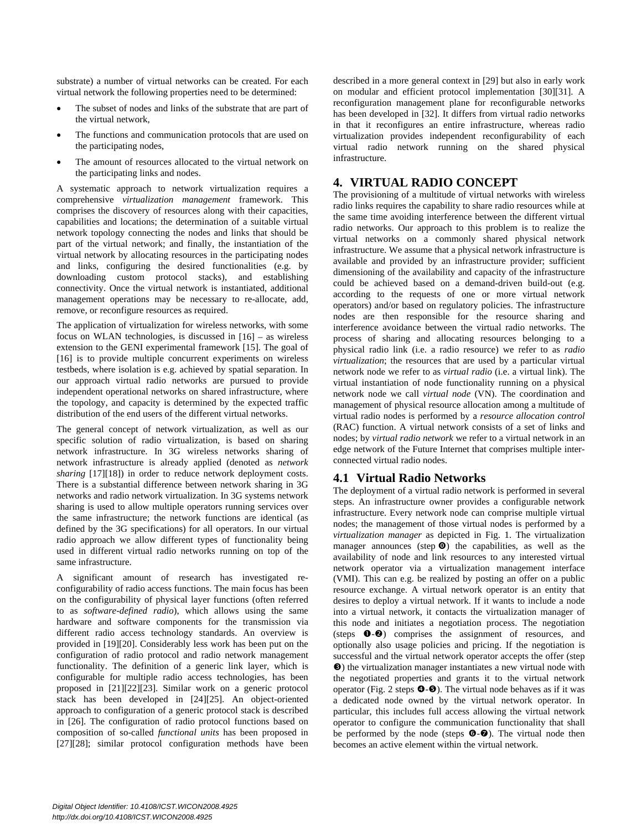substrate) a number of virtual networks can be created. For each virtual network the following properties need to be determined:

- The subset of nodes and links of the substrate that are part of the virtual network,
- The functions and communication protocols that are used on the participating nodes,
- The amount of resources allocated to the virtual network on the participating links and nodes.

A systematic approach to network virtualization requires a comprehensive *virtualization management* framework. This comprises the discovery of resources along with their capacities, capabilities and locations; the determination of a suitable virtual network topology connecting the nodes and links that should be part of the virtual network; and finally, the instantiation of the virtual network by allocating resources in the participating nodes and links, configuring the desired functionalities (e.g. by downloading custom protocol stacks), and establishing connectivity. Once the virtual network is instantiated, additional management operations may be necessary to re-allocate, add, remove, or reconfigure resources as required.

The application of virtualization for wireless networks, with some focus on WLAN technologies, is discussed in [16] – as wireless extension to the GENI experimental framework [15]. The goal of [16] is to provide multiple concurrent experiments on wireless testbeds, where isolation is e.g. achieved by spatial separation. In our approach virtual radio networks are pursued to provide independent operational networks on shared infrastructure, where the topology, and capacity is determined by the expected traffic distribution of the end users of the different virtual networks.

The general concept of network virtualization, as well as our specific solution of radio virtualization, is based on sharing network infrastructure. In 3G wireless networks sharing of network infrastructure is already applied (denoted as *network sharing* [17][18]) in order to reduce network deployment costs. There is a substantial difference between network sharing in 3G networks and radio network virtualization. In 3G systems network sharing is used to allow multiple operators running services over the same infrastructure; the network functions are identical (as defined by the 3G specifications) for all operators. In our virtual radio approach we allow different types of functionality being used in different virtual radio networks running on top of the same infrastructure.

A significant amount of research has investigated reconfigurability of radio access functions. The main focus has been on the configurability of physical layer functions (often referred to as *software-defined radio*), which allows using the same hardware and software components for the transmission via different radio access technology standards. An overview is provided in [19][20]. Considerably less work has been put on the configuration of radio protocol and radio network management functionality. The definition of a generic link layer, which is configurable for multiple radio access technologies, has been proposed in [21][22][23]. Similar work on a generic protocol stack has been developed in [24][25]. An object-oriented approach to configuration of a generic protocol stack is described in [26]. The configuration of radio protocol functions based on composition of so-called *functional units* has been proposed in [27][28]; similar protocol configuration methods have been described in a more general context in [29] but also in early work on modular and efficient protocol implementation [30][31]. A reconfiguration management plane for reconfigurable networks has been developed in [32]. It differs from virtual radio networks in that it reconfigures an entire infrastructure, whereas radio virtualization provides independent reconfigurability of each virtual radio network running on the shared physical infrastructure.

# **4. VIRTUAL RADIO CONCEPT**

The provisioning of a multitude of virtual networks with wireless radio links requires the capability to share radio resources while at the same time avoiding interference between the different virtual radio networks. Our approach to this problem is to realize the virtual networks on a commonly shared physical network infrastructure. We assume that a physical network infrastructure is available and provided by an infrastructure provider; sufficient dimensioning of the availability and capacity of the infrastructure could be achieved based on a demand-driven build-out (e.g. according to the requests of one or more virtual network operators) and/or based on regulatory policies. The infrastructure nodes are then responsible for the resource sharing and interference avoidance between the virtual radio networks. The process of sharing and allocating resources belonging to a physical radio link (i.e. a radio resource) we refer to as *radio virtualization*; the resources that are used by a particular virtual network node we refer to as *virtual radio* (i.e. a virtual link). The virtual instantiation of node functionality running on a physical network node we call *virtual node* (VN). The coordination and management of physical resource allocation among a multitude of virtual radio nodes is performed by a *resource allocation control*  (RAC) function. A virtual network consists of a set of links and nodes; by *virtual radio network* we refer to a virtual network in an edge network of the Future Internet that comprises multiple interconnected virtual radio nodes.

## **4.1 Virtual Radio Networks**

The deployment of a virtual radio network is performed in several steps. An infrastructure owner provides a configurable network infrastructure. Every network node can comprise multiple virtual nodes; the management of those virtual nodes is performed by a *virtualization manager* as depicted in Fig. 1. The virtualization manager announces (step  $\odot$ ) the capabilities, as well as the availability of node and link resources to any interested virtual network operator via a virtualization management interface (VMI). This can e.g. be realized by posting an offer on a public resource exchange. A virtual network operator is an entity that desires to deploy a virtual network. If it wants to include a node into a virtual network, it contacts the virtualization manager of this node and initiates a negotiation process. The negotiation (steps  $\bullet$ - $\bullet$ ) comprises the assignment of resources, and optionally also usage policies and pricing. If the negotiation is successful and the virtual network operator accepts the offer (step p) the virtualization manager instantiates a new virtual node with the negotiated properties and grants it to the virtual network operator (Fig. 2 steps  $\Theta$ - $\Theta$ ). The virtual node behaves as if it was a dedicated node owned by the virtual network operator. In particular, this includes full access allowing the virtual network operator to configure the communication functionality that shall be performed by the node (steps  $\Theta$ - $\Theta$ ). The virtual node then becomes an active element within the virtual network.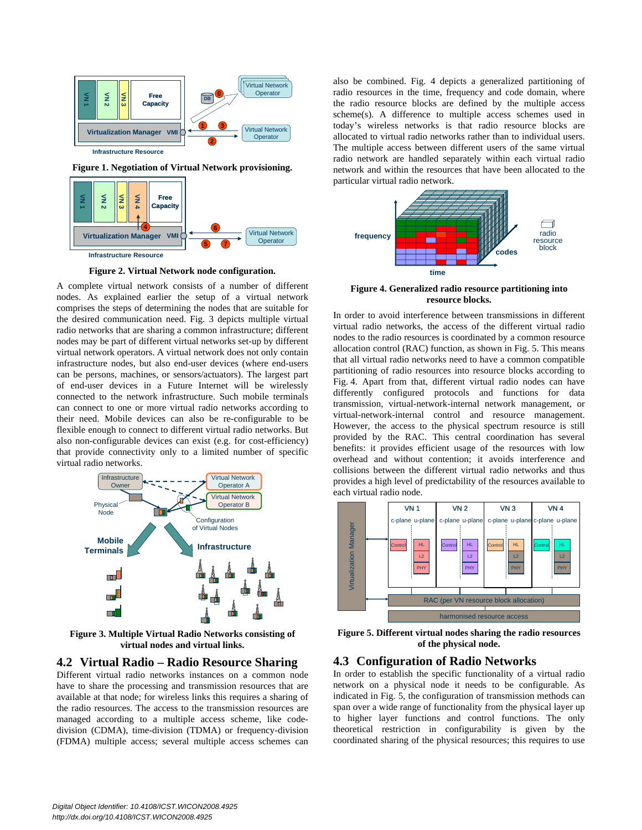

**Figure 1. Negotiation of Virtual Network provisioning.** 



**Figure 2. Virtual Network node configuration.**

A complete virtual network consists of a number of different nodes. As explained earlier the setup of a virtual network comprises the steps of determining the nodes that are suitable for the desired communication need. Fig. 3 depicts multiple virtual radio networks that are sharing a common infrastructure; different nodes may be part of different virtual networks set-up by different virtual network operators. A virtual network does not only contain infrastructure nodes, but also end-user devices (where end-users can be persons, machines, or sensors/actuators). The largest part of end-user devices in a Future Internet will be wirelessly connected to the network infrastructure. Such mobile terminals can connect to one or more virtual radio networks according to their need. Mobile devices can also be re-configurable to be flexible enough to connect to different virtual radio networks. But also non-configurable devices can exist (e.g. for cost-efficiency) that provide connectivity only to a limited number of specific virtual radio networks.



**Figure 3. Multiple Virtual Radio Networks consisting of virtual nodes and virtual links.**

#### **4.2 Virtual Radio – Radio Resource Sharing**

Different virtual radio networks instances on a common node have to share the processing and transmission resources that are available at that node; for wireless links this requires a sharing of the radio resources. The access to the transmission resources are managed according to a multiple access scheme, like codedivision (CDMA), time-division (TDMA) or frequency-division (FDMA) multiple access; several multiple access schemes can

also be combined. Fig. 4 depicts a generalized partitioning of radio resources in the time, frequency and code domain, where the radio resource blocks are defined by the multiple access scheme(s). A difference to multiple access schemes used in today's wireless networks is that radio resource blocks are allocated to virtual radio networks rather than to individual users. The multiple access between different users of the same virtual radio network are handled separately within each virtual radio network and within the resources that have been allocated to the particular virtual radio network.



**Figure 4. Generalized radio resource partitioning into resource blocks.** 

In order to avoid interference between transmissions in different virtual radio networks, the access of the different virtual radio nodes to the radio resources is coordinated by a common resource allocation control (RAC) function, as shown in Fig. 5. This means that all virtual radio networks need to have a common compatible partitioning of radio resources into resource blocks according to Fig. 4. Apart from that, different virtual radio nodes can have differently configured protocols and functions for data transmission, virtual-network-internal network management, or virtual-network-internal control and resource management. However, the access to the physical spectrum resource is still provided by the RAC. This central coordination has several benefits: it provides efficient usage of the resources with low overhead and without contention; it avoids interference and collisions between the different virtual radio networks and thus provides a high level of predictability of the resources available to each virtual radio node.



**Figure 5. Different virtual nodes sharing the radio resources of the physical node.**

#### **4.3 Configuration of Radio Networks**

In order to establish the specific functionality of a virtual radio network on a physical node it needs to be configurable. As indicated in Fig. 5, the configuration of transmission methods can span over a wide range of functionality from the physical layer up to higher layer functions and control functions. The only theoretical restriction in configurability is given by the coordinated sharing of the physical resources; this requires to use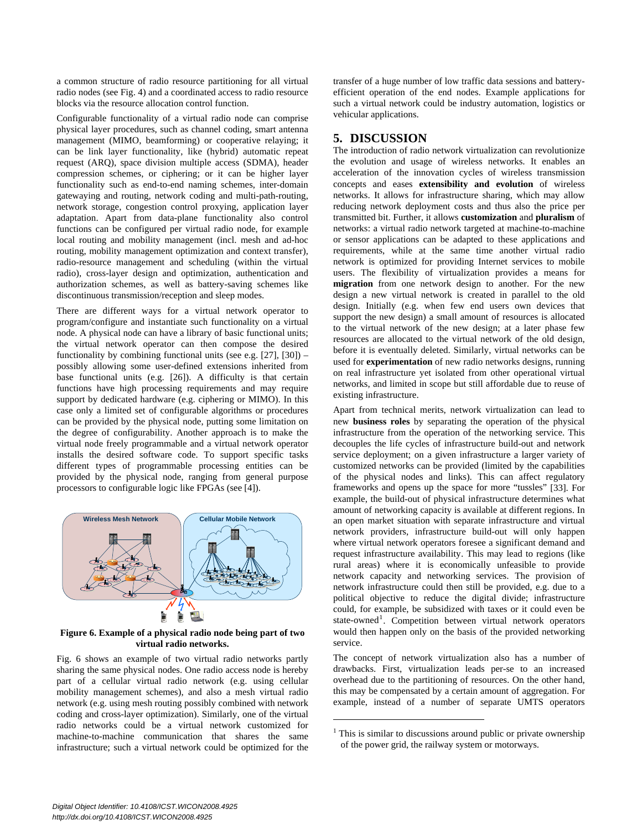a common structure of radio resource partitioning for all virtual radio nodes (see Fig. 4) and a coordinated access to radio resource blocks via the resource allocation control function.

Configurable functionality of a virtual radio node can comprise physical layer procedures, such as channel coding, smart antenna management (MIMO, beamforming) or cooperative relaying; it can be link layer functionality, like (hybrid) automatic repeat request (ARQ), space division multiple access (SDMA), header compression schemes, or ciphering; or it can be higher layer functionality such as end-to-end naming schemes, inter-domain gatewaying and routing, network coding and multi-path-routing, network storage, congestion control proxying, application layer adaptation. Apart from data-plane functionality also control functions can be configured per virtual radio node, for example local routing and mobility management (incl. mesh and ad-hoc routing, mobility management optimization and context transfer), radio-resource management and scheduling (within the virtual radio), cross-layer design and optimization, authentication and authorization schemes, as well as battery-saving schemes like discontinuous transmission/reception and sleep modes.

There are different ways for a virtual network operator to program/configure and instantiate such functionality on a virtual node. A physical node can have a library of basic functional units; the virtual network operator can then compose the desired functionality by combining functional units (see e.g. [27], [30]) – possibly allowing some user-defined extensions inherited from base functional units (e.g. [26]). A difficulty is that certain functions have high processing requirements and may require support by dedicated hardware (e.g. ciphering or MIMO). In this case only a limited set of configurable algorithms or procedures can be provided by the physical node, putting some limitation on the degree of configurability. Another approach is to make the virtual node freely programmable and a virtual network operator installs the desired software code. To support specific tasks different types of programmable processing entities can be provided by the physical node, ranging from general purpose processors to configurable logic like FPGAs (see [4]).



**Figure 6. Example of a physical radio node being part of two virtual radio networks.**

Fig. 6 shows an example of two virtual radio networks partly sharing the same physical nodes. One radio access node is hereby part of a cellular virtual radio network (e.g. using cellular mobility management schemes), and also a mesh virtual radio network (e.g. using mesh routing possibly combined with network coding and cross-layer optimization). Similarly, one of the virtual radio networks could be a virtual network customized for machine-to-machine communication that shares the same infrastructure; such a virtual network could be optimized for the transfer of a huge number of low traffic data sessions and batteryefficient operation of the end nodes. Example applications for such a virtual network could be industry automation, logistics or vehicular applications.

## **5. DISCUSSION**

The introduction of radio network virtualization can revolutionize the evolution and usage of wireless networks. It enables an acceleration of the innovation cycles of wireless transmission concepts and eases **extensibility and evolution** of wireless networks. It allows for infrastructure sharing, which may allow reducing network deployment costs and thus also the price per transmitted bit. Further, it allows **customization** and **pluralism** of networks: a virtual radio network targeted at machine-to-machine or sensor applications can be adapted to these applications and requirements, while at the same time another virtual radio network is optimized for providing Internet services to mobile users. The flexibility of virtualization provides a means for **migration** from one network design to another. For the new design a new virtual network is created in parallel to the old design. Initially (e.g. when few end users own devices that support the new design) a small amount of resources is allocated to the virtual network of the new design; at a later phase few resources are allocated to the virtual network of the old design, before it is eventually deleted. Similarly, virtual networks can be used for **experimentation** of new radio networks designs, running on real infrastructure yet isolated from other operational virtual networks, and limited in scope but still affordable due to reuse of existing infrastructure.

Apart from technical merits, network virtualization can lead to new **business roles** by separating the operation of the physical infrastructure from the operation of the networking service. This decouples the life cycles of infrastructure build-out and network service deployment; on a given infrastructure a larger variety of customized networks can be provided (limited by the capabilities of the physical nodes and links). This can affect regulatory frameworks and opens up the space for more "tussles" [33]. For example, the build-out of physical infrastructure determines what amount of networking capacity is available at different regions. In an open market situation with separate infrastructure and virtual network providers, infrastructure build-out will only happen where virtual network operators foresee a significant demand and request infrastructure availability. This may lead to regions (like rural areas) where it is economically unfeasible to provide network capacity and networking services. The provision of network infrastructure could then still be provided, e.g. due to a political objective to reduce the digital divide; infrastructure could, for example, be subsidized with taxes or it could even be state-owned<sup>1</sup>. Competition between virtual network operators would then happen only on the basis of the provided networking service.

The concept of network virtualization also has a number of drawbacks. First, virtualization leads per-se to an increased overhead due to the partitioning of resources. On the other hand, this may be compensated by a certain amount of aggregation. For example, instead of a number of separate UMTS operators

 $\overline{a}$ 

<sup>&</sup>lt;sup>1</sup> This is similar to discussions around public or private ownership of the power grid, the railway system or motorways.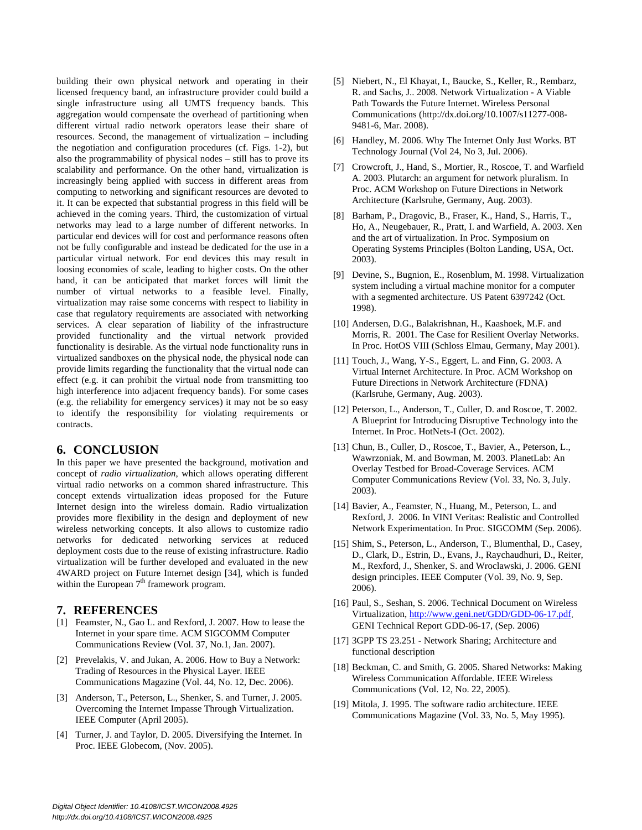building their own physical network and operating in their licensed frequency band, an infrastructure provider could build a single infrastructure using all UMTS frequency bands. This aggregation would compensate the overhead of partitioning when different virtual radio network operators lease their share of resources. Second, the management of virtualization – including the negotiation and configuration procedures (cf. Figs. 1-2), but also the programmability of physical nodes – still has to prove its scalability and performance. On the other hand, virtualization is increasingly being applied with success in different areas from computing to networking and significant resources are devoted to it. It can be expected that substantial progress in this field will be achieved in the coming years. Third, the customization of virtual networks may lead to a large number of different networks. In particular end devices will for cost and performance reasons often not be fully configurable and instead be dedicated for the use in a particular virtual network. For end devices this may result in loosing economies of scale, leading to higher costs. On the other hand, it can be anticipated that market forces will limit the number of virtual networks to a feasible level. Finally, virtualization may raise some concerns with respect to liability in case that regulatory requirements are associated with networking services. A clear separation of liability of the infrastructure provided functionality and the virtual network provided functionality is desirable. As the virtual node functionality runs in virtualized sandboxes on the physical node, the physical node can provide limits regarding the functionality that the virtual node can effect (e.g. it can prohibit the virtual node from transmitting too high interference into adjacent frequency bands). For some cases (e.g. the reliability for emergency services) it may not be so easy to identify the responsibility for violating requirements or contracts.

#### **6. CONCLUSION**

In this paper we have presented the background, motivation and concept of *radio virtualization*, which allows operating different virtual radio networks on a common shared infrastructure. This concept extends virtualization ideas proposed for the Future Internet design into the wireless domain. Radio virtualization provides more flexibility in the design and deployment of new wireless networking concepts. It also allows to customize radio networks for dedicated networking services at reduced deployment costs due to the reuse of existing infrastructure. Radio virtualization will be further developed and evaluated in the new 4WARD project on Future Internet design [34], which is funded within the European  $7<sup>th</sup>$  framework program.

#### **7. REFERENCES**

- [1] Feamster, N., Gao L. and Rexford, J. 2007. How to lease the Internet in your spare time. ACM SIGCOMM Computer Communications Review (Vol. 37, No.1, Jan. 2007).
- [2] Prevelakis, V. and Jukan, A. 2006. How to Buy a Network: Trading of Resources in the Physical Layer. IEEE Communications Magazine (Vol. 44, No. 12, Dec. 2006).
- [3] Anderson, T., Peterson, L., Shenker, S. and Turner, J. 2005. Overcoming the Internet Impasse Through Virtualization. IEEE Computer (April 2005).
- [4] Turner, J. and Taylor, D. 2005. Diversifying the Internet. In Proc. IEEE Globecom, (Nov. 2005).
- [5] Niebert, N., El Khayat, I., Baucke, S., Keller, R., Rembarz, R. and Sachs, J.. 2008. Network Virtualization - A Viable Path Towards the Future Internet. Wireless Personal Communications (http://dx.doi.org/10.1007/s11277-008- 9481-6, Mar. 2008).
- [6] Handley, M. 2006. Why The Internet Only Just Works. BT Technology Journal (Vol 24, No 3, Jul. 2006).
- [7] Crowcroft, J., Hand, S., Mortier, R., Roscoe, T. and Warfield A. 2003. Plutarch: an argument for network pluralism. In Proc. ACM Workshop on Future Directions in Network Architecture (Karlsruhe, Germany, Aug. 2003).
- [8] Barham, P., Dragovic, B., Fraser, K., Hand, S., Harris, T., Ho, A., Neugebauer, R., Pratt, I. and Warfield, A. 2003. Xen and the art of virtualization. In Proc. Symposium on Operating Systems Principles (Bolton Landing, USA, Oct. 2003).
- [9] Devine, S., Bugnion, E., Rosenblum, M. 1998. Virtualization system including a virtual machine monitor for a computer with a segmented architecture. US Patent 6397242 (Oct. 1998).
- [10] Andersen, D.G., Balakrishnan, H., Kaashoek, M.F. and Morris, R. 2001. The Case for Resilient Overlay Networks. In Proc. HotOS VIII (Schloss Elmau, Germany, May 2001).
- [11] Touch, J., Wang, Y-S., Eggert, L. and Finn, G. 2003. A Virtual Internet Architecture. In Proc. ACM Workshop on Future Directions in Network Architecture (FDNA) (Karlsruhe, Germany, Aug. 2003).
- [12] Peterson, L., Anderson, T., Culler, D. and Roscoe, T. 2002. A Blueprint for Introducing Disruptive Technology into the Internet. In Proc. HotNets-I (Oct. 2002).
- [13] Chun, B., Culler, D., Roscoe, T., Bavier, A., Peterson, L., Wawrzoniak, M. and Bowman, M. 2003. PlanetLab: An Overlay Testbed for Broad-Coverage Services. ACM Computer Communications Review (Vol. 33, No. 3, July. 2003).
- [14] Bavier, A., Feamster, N., Huang, M., Peterson, L. and Rexford, J. 2006. In VINI Veritas: Realistic and Controlled Network Experimentation. In Proc. SIGCOMM (Sep. 2006).
- [15] Shim, S., Peterson, L., Anderson, T., Blumenthal, D., Casey, D., Clark, D., Estrin, D., Evans, J., Raychaudhuri, D., Reiter, M., Rexford, J., Shenker, S. and Wroclawski, J. 2006. GENI design principles. IEEE Computer (Vol. 39, No. 9, Sep. 2006).
- [16] Paul, S., Seshan, S. 2006. Technical Document on Wireless Virtualization, http://www.geni.net/GDD/GDD-06-17.pdf. GENI Technical Report GDD-06-17, (Sep. 2006)
- [17] 3GPP TS 23.251 Network Sharing; Architecture and functional description
- [18] Beckman, C. and Smith, G. 2005. Shared Networks: Making Wireless Communication Affordable. IEEE Wireless Communications (Vol. 12, No. 22, 2005).
- [19] Mitola, J. 1995. The software radio architecture. IEEE Communications Magazine (Vol. 33, No. 5, May 1995).